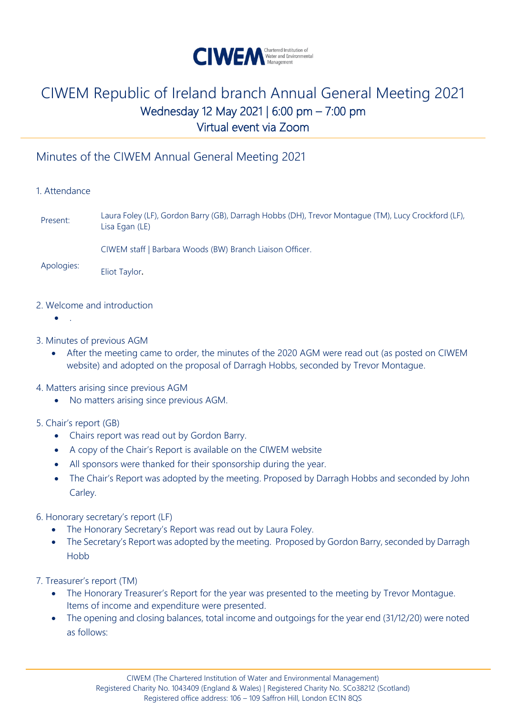

### Minutes of the CIWEM Annual General Meeting 2021

### 1. Attendance

Present: Laura Foley (LF), Gordon Barry (GB), Darragh Hobbs (DH), Trevor Montague (TM), Lucy Crockford (LF), Lisa Egan (LE)

CIWEM staff | Barbara Woods (BW) Branch Liaison Officer.

Apologies: Eliot Taylor.

### 2. Welcome and introduction

- .
- 3. Minutes of previous AGM
	- After the meeting came to order, the minutes of the 2020 AGM were read out (as posted on CIWEM website) and adopted on the proposal of Darragh Hobbs, seconded by Trevor Montague.

### 4. Matters arising since previous AGM

• No matters arising since previous AGM.

### 5. Chair's report (GB)

- Chairs report was read out by Gordon Barry.
- A copy of the Chair's Report is available on the CIWEM website
- All sponsors were thanked for their sponsorship during the year.
- The Chair's Report was adopted by the meeting. Proposed by Darragh Hobbs and seconded by John Carley.
- 6. Honorary secretary's report (LF)
	- The Honorary Secretary's Report was read out by Laura Foley.
	- The Secretary's Report was adopted by the meeting. Proposed by Gordon Barry, seconded by Darragh Hobb

7. Treasurer's report (TM)

- The Honorary Treasurer's Report for the year was presented to the meeting by Trevor Montague. Items of income and expenditure were presented.
- The opening and closing balances, total income and outgoings for the year end (31/12/20) were noted as follows: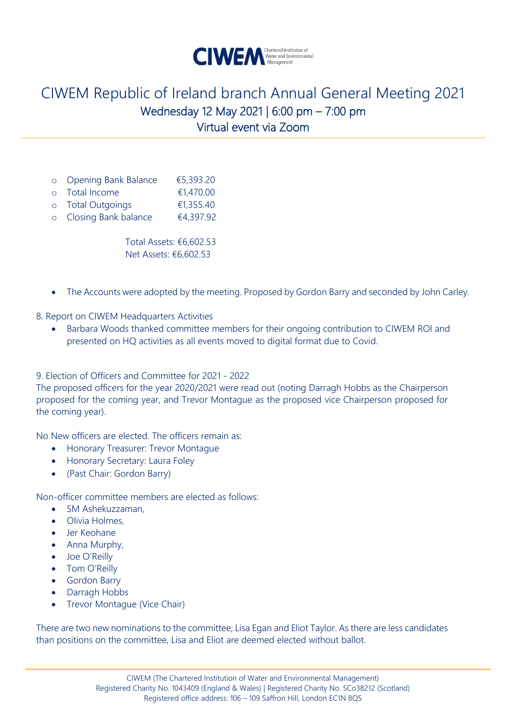

- o Opening Bank Balance €5,393.20
- o Total Income €1,470.00
- o Total Outgoings €1,355.40
- o Closing Bank balance €4,397.92

Total Assets: €6,602.53 Net Assets: €6,602.53

• The Accounts were adopted by the meeting. Proposed by Gordon Barry and seconded by John Carley.

8. Report on CIWEM Headquarters Activities

• Barbara Woods thanked committee members for their ongoing contribution to CIWEM ROI and presented on HQ activities as all events moved to digital format due to Covid.

9. Election of Officers and Committee for 2021 - 2022

The proposed officers for the year 2020/2021 were read out (noting Darragh Hobbs as the Chairperson proposed for the coming year, and Trevor Montague as the proposed vice Chairperson proposed for the coming year).

No New officers are elected. The officers remain as:

- Honorary Treasurer: Trevor Montague
- Honorary Secretary: Laura Foley
- (Past Chair: Gordon Barry)

Non-officer committee members are elected as follows:

- SM Ashekuzzaman,
- Olivia Holmes,
- Jer Keohane
- Anna Murphy,
- Joe O'Reilly
- Tom O'Reilly
- Gordon Barry
- Darragh Hobbs
- Trevor Montague (Vice Chair)

There are two new nominations to the committee; Lisa Egan and Eliot Taylor. As there are less candidates than positions on the committee, Lisa and Eliot are deemed elected without ballot.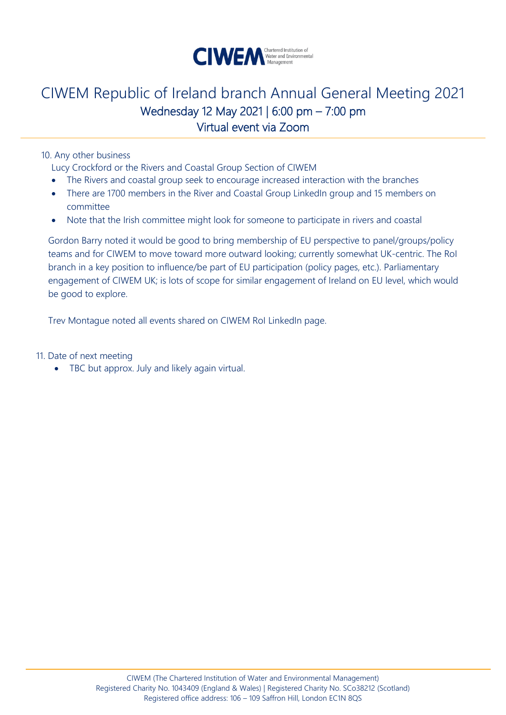

10. Any other business

Lucy Crockford or the Rivers and Coastal Group Section of CIWEM

- The Rivers and coastal group seek to encourage increased interaction with the branches
- There are 1700 members in the River and Coastal Group LinkedIn group and 15 members on committee
- Note that the Irish committee might look for someone to participate in rivers and coastal

Gordon Barry noted it would be good to bring membership of EU perspective to panel/groups/policy teams and for CIWEM to move toward more outward looking; currently somewhat UK-centric. The RoI branch in a key position to influence/be part of EU participation (policy pages, etc.). Parliamentary engagement of CIWEM UK; is lots of scope for similar engagement of Ireland on EU level, which would be good to explore.

Trev Montague noted all events shared on CIWEM RoI LinkedIn page.

11. Date of next meeting

• TBC but approx. July and likely again virtual.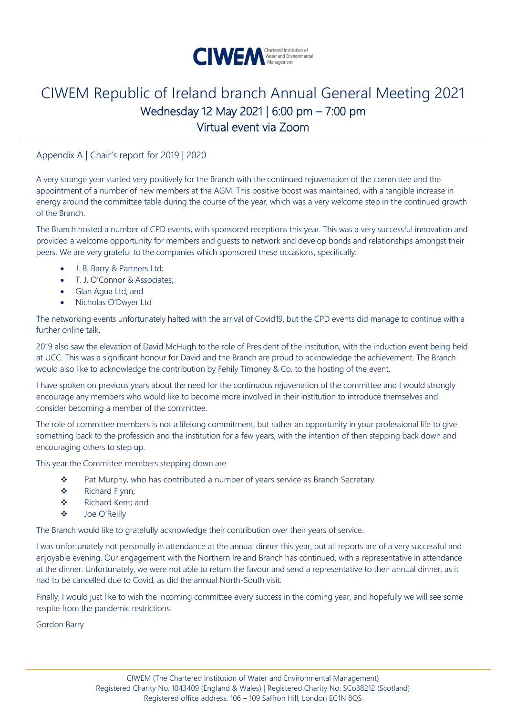

Appendix A | Chair's report for 2019 | 2020

A very strange year started very positively for the Branch with the continued rejuvenation of the committee and the appointment of a number of new members at the AGM. This positive boost was maintained, with a tangible increase in energy around the committee table during the course of the year, which was a very welcome step in the continued growth of the Branch.

The Branch hosted a number of CPD events, with sponsored receptions this year. This was a very successful innovation and provided a welcome opportunity for members and guests to network and develop bonds and relationships amongst their peers. We are very grateful to the companies which sponsored these occasions, specifically:

- J. B. Barry & Partners Ltd;
- T. J. O'Connor & Associates;
- Glan Agua Ltd; and
- Nicholas O'Dwyer Ltd

The networking events unfortunately halted with the arrival of Covid19, but the CPD events did manage to continue with a further online talk.

2019 also saw the elevation of David McHugh to the role of President of the institution, with the induction event being held at UCC. This was a significant honour for David and the Branch are proud to acknowledge the achievement. The Branch would also like to acknowledge the contribution by Fehily Timoney & Co. to the hosting of the event.

I have spoken on previous years about the need for the continuous rejuvenation of the committee and I would strongly encourage any members who would like to become more involved in their institution to introduce themselves and consider becoming a member of the committee.

The role of committee members is not a lifelong commitment, but rather an opportunity in your professional life to give something back to the profession and the institution for a few years, with the intention of then stepping back down and encouraging others to step up.

This year the Committee members stepping down are

- ❖ Pat Murphy, who has contributed a number of years service as Branch Secretary
- ❖ Richard Flynn;
- ❖ Richard Kent; and
- ❖ Joe O'Reilly

The Branch would like to gratefully acknowledge their contribution over their years of service.

I was unfortunately not personally in attendance at the annual dinner this year, but all reports are of a very successful and enjoyable evening. Our engagement with the Northern Ireland Branch has continued, with a representative in attendance at the dinner. Unfortunately, we were not able to return the favour and send a representative to their annual dinner, as it had to be cancelled due to Covid, as did the annual North-South visit.

Finally, I would just like to wish the incoming committee every success in the coming year, and hopefully we will see some respite from the pandemic restrictions.

Gordon Barry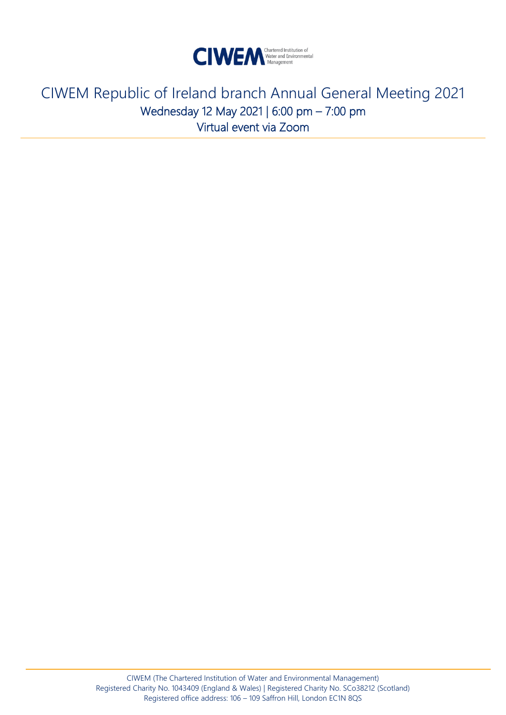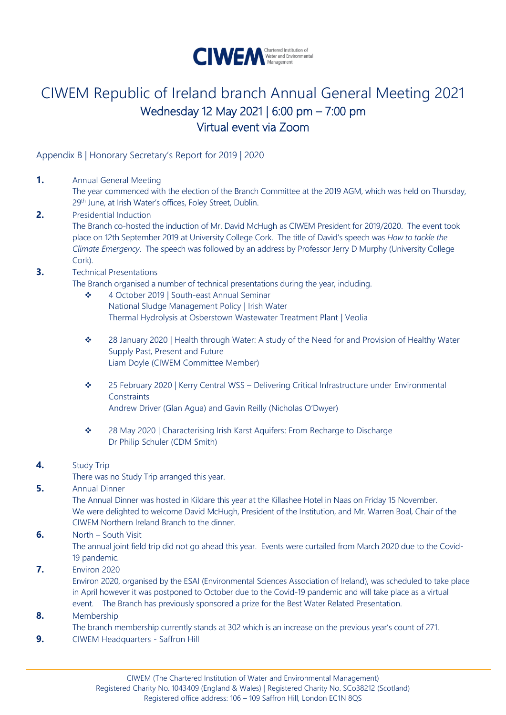

Appendix B | Honorary Secretary's Report for 2019 | 2020

**1.** Annual General Meeting

The year commenced with the election of the Branch Committee at the 2019 AGM, which was held on Thursday, 29<sup>th</sup> June, at Irish Water's offices, Foley Street, Dublin.

**2.** Presidential Induction The Branch co-hosted the induction of Mr. David McHugh as CIWEM President for 2019/2020. The event took place on 12th September 2019 at University College Cork. The title of David's speech was *How to tackle the Climate Emergency*. The speech was followed by an address by Professor Jerry D Murphy (University College Cork).

#### **3.** Technical Presentations

The Branch organised a number of technical presentations during the year, including.

- ❖ 4 October 2019 | South-east Annual Seminar National Sludge Management Policy | Irish Water Thermal Hydrolysis at Osberstown Wastewater Treatment Plant | Veolia
- ❖ 28 January 2020 | Health through Water: A study of the Need for and Provision of Healthy Water Supply Past, Present and Future Liam Doyle (CIWEM Committee Member)
- ❖ 25 February 2020 | Kerry Central WSS Delivering Critical Infrastructure under Environmental **Constraints** Andrew Driver (Glan Agua) and Gavin Reilly (Nicholas O'Dwyer)
- ❖ 28 May 2020 | Characterising Irish Karst Aquifers: From Recharge to Discharge Dr Philip Schuler (CDM Smith)
- **4.** Study Trip

There was no Study Trip arranged this year.

**5.** Annual Dinner

The Annual Dinner was hosted in Kildare this year at the Killashee Hotel in Naas on Friday 15 November. We were delighted to welcome David McHugh, President of the Institution, and Mr. Warren Boal, Chair of the CIWEM Northern Ireland Branch to the dinner.

**6.** North – South Visit

The annual joint field trip did not go ahead this year. Events were curtailed from March 2020 due to the Covid-19 pandemic.

**7.** Environ 2020

Environ 2020, organised by the ESAI (Environmental Sciences Association of Ireland), was scheduled to take place in April however it was postponed to October due to the Covid-19 pandemic and will take place as a virtual event. The Branch has previously sponsored a prize for the Best Water Related Presentation.

### **8.** Membership

The branch membership currently stands at 302 which is an increase on the previous year's count of 271.

**9.** CIWEM Headquarters - Saffron Hill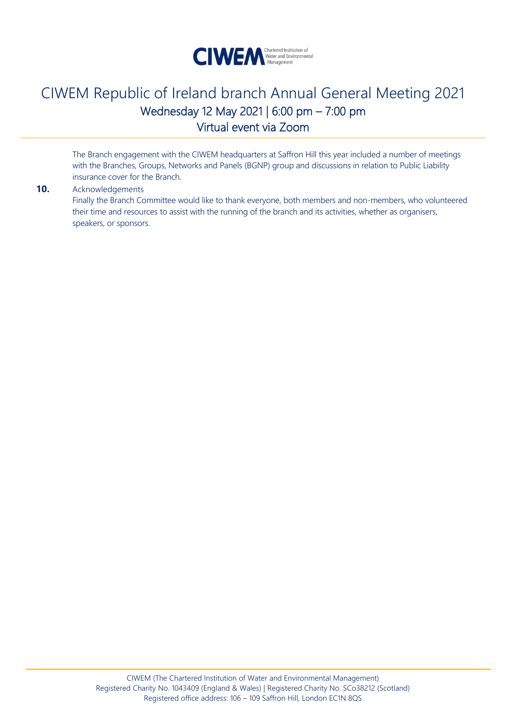

The Branch engagement with the CIWEM headquarters at Saffron Hill this year included a number of meetings with the Branches, Groups, Networks and Panels (BGNP) group and discussions in relation to Public Liability insurance cover for the Branch.

### **10.** Acknowledgements

Finally the Branch Committee would like to thank everyone, both members and non-members, who volunteered their time and resources to assist with the running of the branch and its activities, whether as organisers, speakers, or sponsors.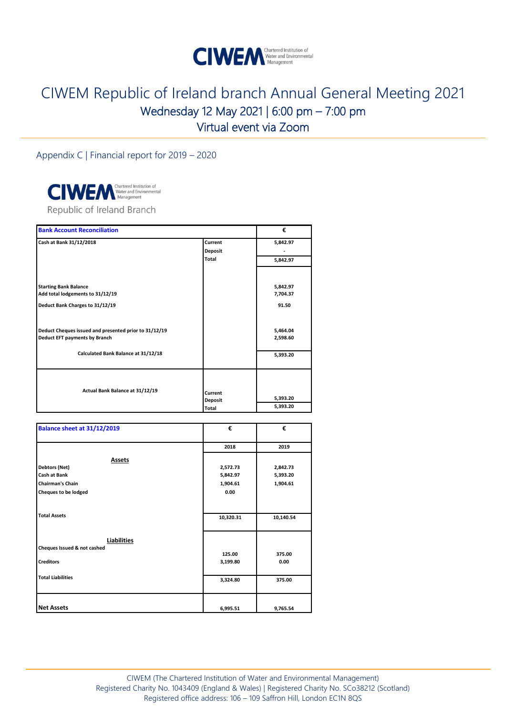

Appendix C | Financial report for 2019 – 2020



| <b>Bank Account Reconciliation</b>                                                     |                           | €                    |
|----------------------------------------------------------------------------------------|---------------------------|----------------------|
| Cash at Bank 31/12/2018                                                                | Current                   | 5,842.97             |
|                                                                                        | <b>Deposit</b>            |                      |
|                                                                                        | Total                     | 5,842.97             |
|                                                                                        |                           |                      |
| <b>Starting Bank Balance</b>                                                           |                           | 5,842.97             |
| Add total lodgements to 31/12/19                                                       |                           | 7,704.37             |
| Deduct Bank Charges to 31/12/19                                                        |                           | 91.50                |
| Deduct Cheques issued and presented prior to 31/12/19<br>Deduct EFT payments by Branch |                           | 5,464.04<br>2,598.60 |
| Calculated Bank Balance at 31/12/18                                                    |                           | 5,393.20             |
| Actual Bank Balance at 31/12/19                                                        | Current<br><b>Deposit</b> | 5,393.20             |
|                                                                                        | Total                     | 5,393.20             |

| Balance sheet at 31/12/2019                                                                       | €                                        | €                                |
|---------------------------------------------------------------------------------------------------|------------------------------------------|----------------------------------|
|                                                                                                   | 2018                                     | 2019                             |
| <b>Assets</b><br>Debtors (Net)<br>Cash at Bank<br><b>Chairman's Chain</b><br>Cheques to be lodged | 2,572.73<br>5,842.97<br>1,904.61<br>0.00 | 2,842.73<br>5,393.20<br>1,904.61 |
| <b>Total Assets</b>                                                                               | 10,320.31                                | 10,140.54                        |
| Liabilities<br>Cheques Issued & not cashed<br><b>Creditors</b>                                    | 125.00<br>3,199.80                       | 375.00<br>0.00                   |
| <b>Total Liabilities</b>                                                                          | 3,324.80                                 | 375.00                           |
| <b>Net Assets</b>                                                                                 | 6,995.51                                 | 9,765.54                         |